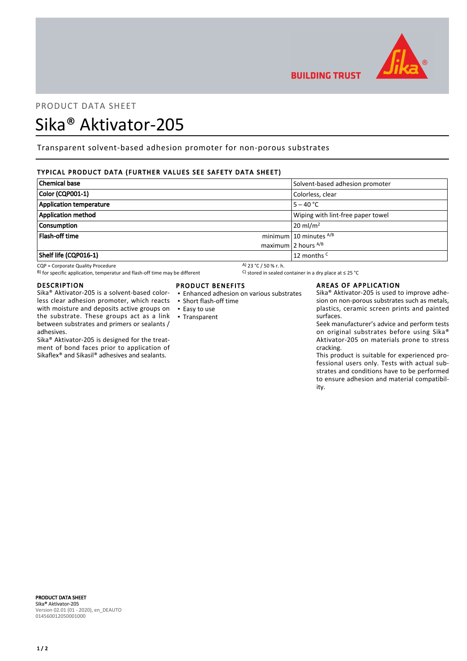

# PRODUCT DATA SHEET

# Sika® Aktivator-205

Transparent solvent-based adhesion promoter for non-porous substrates

# TYPICAL PRODUCT DATA (FURTHER VALUES SEE SAFETY DATA SHEET)

| <b>Chemical base</b>      | Solvent-based adhesion promoter   |
|---------------------------|-----------------------------------|
| Color (CQP001-1)          | Colorless, clear                  |
| Application temperature   | $5 - 40 °C$                       |
| <b>Application method</b> | Wiping with lint-free paper towel |
| <b>Consumption</b>        | $20 \text{ ml/m}^2$               |
| Flash-off time            | minimum 10 minutes $^{A/B}$       |
|                           | maximum 2 hours $^{A/B}$          |
| Shelf life (CQP016-1)     | 12 months <sup>C</sup>            |

CQP = Corporate Quality Procedure<br>
B) for specific application, temperatur and flash-off time may be different  $\begin{array}{c} \text{A)}$  23 °C / 50 % r. h.<br>
A) for specific application, temperatur and flash-off time may be different B) for specific application, temperatur and flash-off time may be different

#### DESCRIPTION

Sika® Aktivator-205 is a solvent-based colorless clear adhesion promoter, which reacts with moisture and deposits active groups on the substrate. These groups act as a link between substrates and primers or sealants / adhesives.

Sika® Aktivator-205 is designed for the treatment of bond faces prior to application of Sikaflex® and Sikasil® adhesives and sealants.

## PRODUCT BENEFITS

- Enhanced adhesion on various substrates
- Short flash-off time
- Easy to use
- Transparent

#### AREAS OF APPLICATION

**BUILDING TRUST** 

Sika® Aktivator-205 is used to improve adhesion on non-porous substrates such as metals, plastics, ceramic screen prints and painted surfaces.

Seek manufacturer's advice and perform tests on original substrates before using Sika® Aktivator-205 on materials prone to stress cracking.

This product is suitable for experienced professional users only. Tests with actual substrates and conditions have to be performed to ensure adhesion and material compatibility.

PRODUCT DATA SHEET Sika® Aktivator-205 Version 02.01 (01 - 2020), en\_DEAUTO 014560012050001000